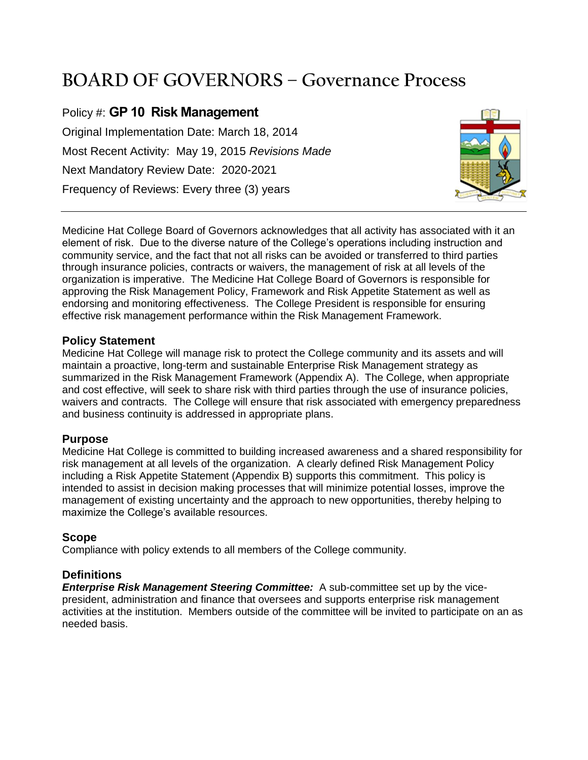# **BOARD OF GOVERNORS – Governance Process**

Policy #: **GP 10 Risk Management** Original Implementation Date: March 18, 2014 Most Recent Activity: May 19, 2015 *Revisions Made* Next Mandatory Review Date: 2020-2021 Frequency of Reviews: Every three (3) years



Medicine Hat College Board of Governors acknowledges that all activity has associated with it an element of risk. Due to the diverse nature of the College's operations including instruction and community service, and the fact that not all risks can be avoided or transferred to third parties through insurance policies, contracts or waivers, the management of risk at all levels of the organization is imperative. The Medicine Hat College Board of Governors is responsible for approving the Risk Management Policy, Framework and Risk Appetite Statement as well as endorsing and monitoring effectiveness. The College President is responsible for ensuring effective risk management performance within the Risk Management Framework.

#### **Policy Statement**

Medicine Hat College will manage risk to protect the College community and its assets and will maintain a proactive, long-term and sustainable Enterprise Risk Management strategy as summarized in the Risk Management Framework (Appendix A). The College, when appropriate and cost effective, will seek to share risk with third parties through the use of insurance policies, waivers and contracts. The College will ensure that risk associated with emergency preparedness and business continuity is addressed in appropriate plans.

## **Purpose**

Medicine Hat College is committed to building increased awareness and a shared responsibility for risk management at all levels of the organization. A clearly defined Risk Management Policy including a Risk Appetite Statement (Appendix B) supports this commitment. This policy is intended to assist in decision making processes that will minimize potential losses, improve the management of existing uncertainty and the approach to new opportunities, thereby helping to maximize the College's available resources.

## **Scope**

Compliance with policy extends to all members of the College community.

## **Definitions**

*Enterprise Risk Management Steering Committee:* A sub-committee set up by the vicepresident, administration and finance that oversees and supports enterprise risk management activities at the institution. Members outside of the committee will be invited to participate on an as needed basis.